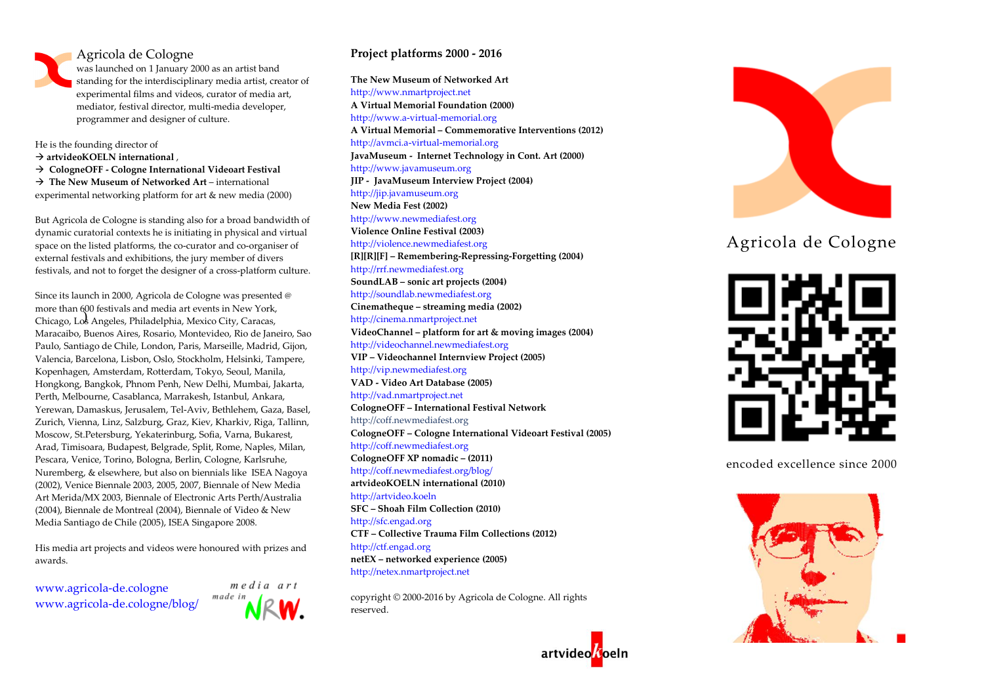## Agricola de Cologne

was launched on 1 January 2000 as an artist band standing for the interdisciplinary media artist, creator of experimental films and videos, curator of media art, mediator, festival director, multi-media developer, programmer and designer of culture.

He is the founding director of **artvideoKOELN international** , **CologneOFF - Cologne International Videoart Festival The New Museum of Networked Art** – international experimental networking platform for art & new media (2000)

But Agricola de Cologne is standing also for a broad bandwidth of dynamic curatorial contexts he is initiating in physical and virtual space on the listed platforms, the co-curator and co-organiser of external festivals and exhibitions, the jury member of divers festivals, and not to forget the designer of a cross-platform culture.

) Chicago, Los Angeles, Philadelphia, Mexico City, Caracas, Since its launch in 2000, Agricola de Cologne was presented @ more than 600 festivals and media art events in New York, Maracaibo, Buenos Aires, Rosario, Montevideo, Rio de Janeiro, Sao Paulo, Santiago de Chile, London, Paris, Marseille, Madrid, Gijon, Valencia, Barcelona, Lisbon, Oslo, Stockholm, Helsinki, Tampere, Kopenhagen, Amsterdam, Rotterdam, Tokyo, Seoul, Manila, Hongkong, Bangkok, Phnom Penh, New Delhi, Mumbai, Jakarta, Perth, Melbourne, Casablanca, Marrakesh, Istanbul, Ankara, Yerewan, Damaskus, Jerusalem, Tel-Aviv, Bethlehem, Gaza, Basel, Zurich, Vienna, Linz, Salzburg, Graz, Kiev, Kharkiv, Riga, Tallinn, Moscow, St.Petersburg, Yekaterinburg, Sofia, Varna, Bukarest, Arad, Timisoara, Budapest, Belgrade, Split, Rome, Naples, Milan, Pescara, Venice, Torino, Bologna, Berlin, Cologne, Karlsruhe, Nuremberg, & elsewhere, but also on biennials like ISEA Nagoya (2002), Venice Biennale 2003, 2005, 2007, Biennale of New Media Art Merida/MX 2003, Biennale of Electronic Arts Perth/Australia (2004), Biennale de Montreal (2004), Biennale of Video & New Media Santiago de Chile (2005), ISEA Singapore 2008.

His media art projects and videos were honoured with prizes and awards.

www.agricola-de.cologne www.agricola-de.cologne/blog/



## **Project platforms 2000 - 2016**

**The New Museum of Networked Art** http://www.nmartproject.net **A Virtual Memorial Foundation (2000)**  http://www.a-virtual-memorial.org **A Virtual Memorial – Commemorative Interventions (2012)** http://avmci.a-virtual-memorial.org **JavaMuseum - Internet Technology in Cont. Art (2000)** http://www.javamuseum.org **JIP - JavaMuseum Interview Project (2004)** http://jip.javamuseum.org **New Media Fest (2002)** http://www.newmediafest.org **Violence Online Festival (2003)** http://violence.newmediafest.org **[R][R][F] – Remembering-Repressing-Forgetting (2004)** http://rrf.newmediafest.org **SoundLAB – sonic art projects (2004)** http://soundlab.newmediafest.org **Cinematheque – streaming media (2002)** http://cinema.nmartproject.net **VideoChannel – platform for art & moving images (2004)** http://videochannel.newmediafest.org **VIP – Videochannel Internview Project (2005)** http://vip.newmediafest.org **VAD - Video Art Database (2005)** http://vad.nmartproject.net **CologneOFF – International Festival Network** http://coff.newmediafest.org **CologneOFF – Cologne International Videoart Festival (2005)** http://coff.newmediafest.org **CologneOFF XP nomadic – (2011)** http://coff.newmediafest.org/blog/ **artvideoKOELN international (2010)** http://artvideo.koeln **SFC – Shoah Film Collection (2010)** http://sfc.engad.org **CTF – Collective Trauma Film Collections (2012)**  http://ctf.engad.org **netEX – networked experience (2005)** http://netex.nmartproject.net

copyright © 2000-2016 by Agricola de Cologne. All rights reserved.



## Agricola de Cologne



encoded excellence since 2000